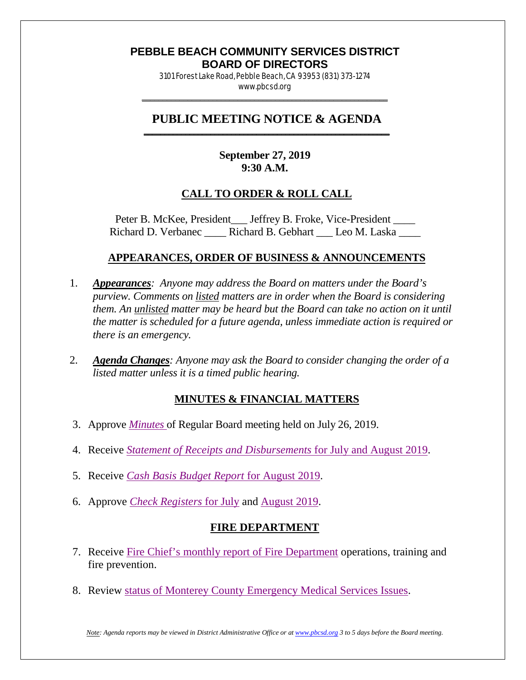#### **PEBBLE BEACH COMMUNITY SERVICES DISTRICT BOARD OF DIRECTORS**

3101 Forest Lake Road, Pebble Beach, CA 93953 (831) 373-1274 www.pbcsd.org \_\_\_\_\_\_\_\_\_\_\_\_\_\_\_\_\_\_\_\_\_\_\_\_\_\_\_\_\_\_\_\_\_\_\_\_\_\_\_\_\_\_\_\_\_\_\_\_\_\_\_\_\_\_\_\_\_\_\_

#### **PUBLIC MEETING NOTICE & AGENDA \_\_\_\_\_\_\_\_\_\_\_\_\_\_\_\_\_\_\_\_\_\_\_\_\_\_\_\_\_\_\_\_\_\_\_\_\_\_\_\_\_\_\_\_\_\_\_\_\_\_\_\_\_\_\_\_\_\_\_**

## **September 27, 2019 9:30 A.M.**

## **CALL TO ORDER & ROLL CALL**

Peter B. McKee, President \_\_\_ Jeffrey B. Froke, Vice-President \_\_\_\_ Richard D. Verbanec \_\_\_\_ Richard B. Gebhart \_\_\_ Leo M. Laska

#### **APPEARANCES, ORDER OF BUSINESS & ANNOUNCEMENTS**

- 1. *Appearances: Anyone may address the Board on matters under the Board's purview. Comments on listed matters are in order when the Board is considering them. An unlisted matter may be heard but the Board can take no action on it until the matter is scheduled for a future agenda, unless immediate action is required or there is an emergency.*
- 2. *Agenda Changes: Anyone may ask the Board to consider changing the order of a listed matter unless it is a timed public hearing.*

## **MINUTES & FINANCIAL MATTERS**

- 3. Approve *[Minutes](http://pbcsd.org/wp-content/uploads/pbcsd/meetings/board/2019/2019-09-27/03-19-0726-PBCSD-draft-minutes.pdf)* of Regular Board meeting held on July 26, 2019.
- 4. Receive *[Statement of Receipts and Disbursements](http://pbcsd.org/wp-content/uploads/pbcsd/meetings/board/2019/2019-09-27/04-Statement-Of-and-Disbursements-for-July-and-August-2019.pdf)* for July and August 2019.
- 5. Receive *[Cash Basis Budget Report](http://pbcsd.org/wp-content/uploads/pbcsd/meetings/board/2019/2019-09-27/05-Cash-Basis-Budget-Report-for-August-2019.pdf)* for August 2019.
- 6. Approve *[Check Registers](http://pbcsd.org/wp-content/uploads/pbcsd/meetings/board/2019/2019-09-27/06a-Check-Register-for-July-2019.pdf)* for July and [August](http://pbcsd.org/wp-content/uploads/pbcsd/meetings/board/2019/2019-09-27/06b-Check-Register-for-August-2019.pdf) 2019.

## **FIRE DEPARTMENT**

- 7. Receive [Fire Chief's monthly report of Fire Department](http://pbcsd.org/wp-content/uploads/pbcsd/meetings/board/2019/2019-09-27/07-Fire-Chiefs-Monthly-Report-for-Fire-Department-July-20-to-September-20-2019.pdf) operations, training and fire prevention.
- 8. Review status of Monterey County [Emergency Medical Services Issues.](http://pbcsd.org/wp-content/uploads/pbcsd/meetings/board/2019/2019-09-27/08-Status-of-Monterey-County-EMS-Issues-Prescribing-Physician-2019.pdf)

*Note: Agenda reports may be viewed in District Administrative Office or a[t www.pbcsd.org](http://www.pbcsd.org/) 3 to 5 days before the Board meeting.*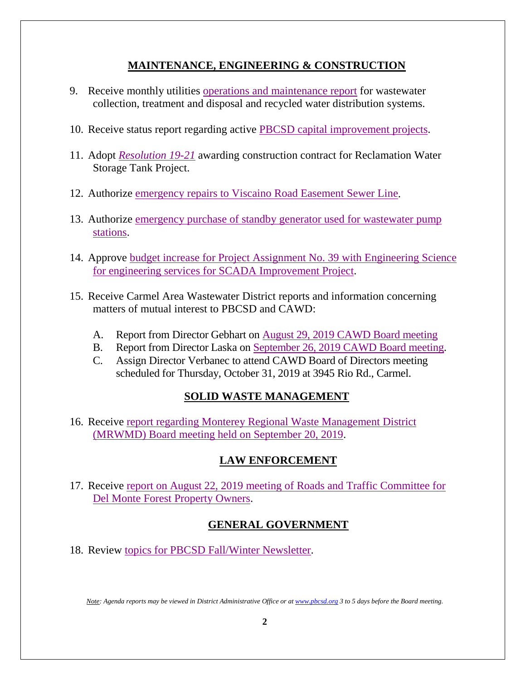## **MAINTENANCE, ENGINEERING & CONSTRUCTION**

- 9. Receive monthly utilities [operations and maintenance report](http://pbcsd.org/wp-content/uploads/pbcsd/meetings/board/2019/2019-09-27/09-Operations-Maintenance-Report-for-August-September-2019.pdf) for wastewater collection, treatment and disposal and recycled water distribution systems.
- 10. Receive status report regarding active [PBCSD capital improvement projects.](http://pbcsd.org/wp-content/uploads/pbcsd/meetings/board/2019/2019-09-27/10-Capital-Improvement-Projects-Report.pdf)
- 11. Adopt *[Resolution 19-21](http://pbcsd.org/wp-content/uploads/pbcsd/meetings/board/2019/2019-09-27/11-RES-19-21-Reclamation-Water-Storage-Tank-Rehab-Project-Contract-Award.pdf)* awarding construction contract for Reclamation Water Storage Tank Project.
- 12. Authorize [emergency repairs to Viscaino Road Easement Sewer](http://pbcsd.org/wp-content/uploads/pbcsd/meetings/board/2019/2019-09-27/12-Viscaino-Rd.-Easement-Emergency-Sewer-Repair.pdf) Line.
- 13. Authorize [emergency purchase of standby generator used for wastewater pump](http://pbcsd.org/wp-content/uploads/pbcsd/meetings/board/2019/2019-09-27/13-Emergency-Purchse-of-Standby-Generator-for-Wastewater-Pump-Stations.pdf)  [stations.](http://pbcsd.org/wp-content/uploads/pbcsd/meetings/board/2019/2019-09-27/13-Emergency-Purchse-of-Standby-Generator-for-Wastewater-Pump-Stations.pdf)
- 14. Approve [budget increase for Project Assignment No. 39 with Engineering Science](http://pbcsd.org/wp-content/uploads/pbcsd/meetings/board/2019/2019-09-27/14-Project-Assignment-No.39-with-E2-for-SCADA-Improvement-Project-Addendum-No.01-to-PA.39.pdf)  [for engineering services for SCADA Improvement Project.](http://pbcsd.org/wp-content/uploads/pbcsd/meetings/board/2019/2019-09-27/14-Project-Assignment-No.39-with-E2-for-SCADA-Improvement-Project-Addendum-No.01-to-PA.39.pdf)
- 15. Receive Carmel Area Wastewater District reports and information concerning matters of mutual interest to PBCSD and CAWD:
	- A. Report from Director Gebhart on August 29, 2019 [CAWD Board meeting](http://pbcsd.org/wp-content/uploads/pbcsd/meetings/board/2019/2019-09-27/15a-CAWD-Regular-Board-Meeting-Agenda-Reports-for-August-2019.pdf)
	- B. Report from Director Laska on September 26, 2019 [CAWD Board meeting.](http://pbcsd.org/wp-content/uploads/pbcsd/meetings/board/2019/2019-09-27/15b-CAWD-Regular-Board-Meeting-Agenda-Reports-for-September-2019.pdf)
	- C. Assign Director Verbanec to attend CAWD Board of Directors meeting scheduled for Thursday, October 31, 2019 at 3945 Rio Rd., Carmel.

# **SOLID WASTE MANAGEMENT**

16. Receive [report regarding Monterey Regional Waste Management District](http://pbcsd.org/wp-content/uploads/pbcsd/meetings/board/2019/2019-09-27/16-MRWMD-Board-Meeting-Agendas-GM-Report.pdf)  [\(MRWMD\) Board meeting held on September 20, 2019.](http://pbcsd.org/wp-content/uploads/pbcsd/meetings/board/2019/2019-09-27/16-MRWMD-Board-Meeting-Agendas-GM-Report.pdf)

# **LAW ENFORCEMENT**

17. Receive [report on August 22, 2019 meeting of Roads and Traffic Committee for](http://pbcsd.org/wp-content/uploads/pbcsd/meetings/board/2019/2019-09-27/17-Roads-traffic-Aug-22-2019.pdf)  [Del Monte Forest Property Owners.](http://pbcsd.org/wp-content/uploads/pbcsd/meetings/board/2019/2019-09-27/17-Roads-traffic-Aug-22-2019.pdf)

# **GENERAL GOVERNMENT**

18. Review [topics for PBCSD Fall/Winter Newsletter.](http://pbcsd.org/wp-content/uploads/pbcsd/meetings/board/2019/2019-09-27/18-Fall-Winter-Newsletter-Topics.pdf)

*Note: Agenda reports may be viewed in District Administrative Office or a[t www.pbcsd.org](http://www.pbcsd.org/) 3 to 5 days before the Board meeting.*